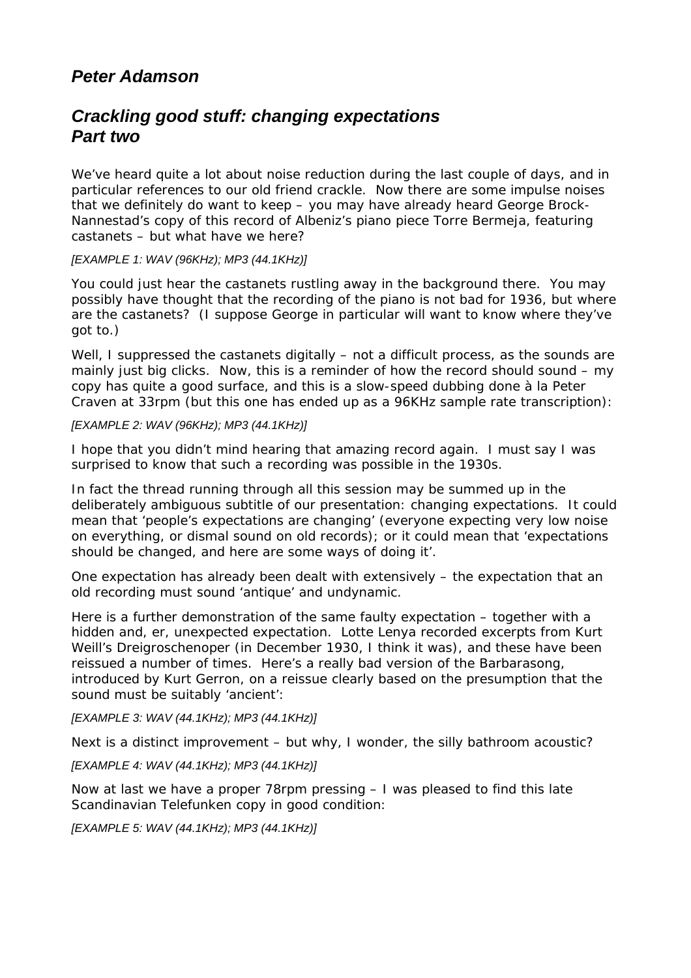# *Peter Adamson*

# *Crackling good stuff: changing expectations Part two*

We've heard quite a lot about noise reduction during the last couple of days, and in particular references to our old friend crackle. Now there are some impulse noises that we definitely do want to keep – you may have already heard George Brock-Nannestad's copy of this record of Albeniz's piano piece Torre Bermeja, featuring castanets – but what have we here?

## *[EXAMPLE 1: WAV (96KHz); MP3 (44.1KHz)]*

You could just hear the castanets rustling away in the background there. You may possibly have thought that the recording of the piano is not bad for 1936, but where are the castanets? (I suppose George in particular will want to know where they've got to.)

Well, I suppressed the castanets *digitally* – not a difficult process, as the sounds are mainly just big clicks. Now, this is a reminder of how the record should sound – my copy has quite a good surface, and this is a slow-speed dubbing done à la Peter Craven at 33rpm (but this one has ended up as a 96KHz sample rate transcription):

## *[EXAMPLE 2: WAV (96KHz); MP3 (44.1KHz)]*

I hope that you didn't mind hearing that amazing record again. I must say I was surprised to know that such a recording was possible in the 1930s.

In fact the thread running through all this session may be summed up in the deliberately ambiguous subtitle of our presentation: *changing expectations*. It could mean that 'people's expectations are changing' (everyone expecting very low noise on everything, or dismal sound on old records); or it could mean that 'expectations *should* be changed, and here are some ways of doing it'.

One expectation has already been dealt with extensively – the expectation that an old recording must sound 'antique' and undynamic.

Here is a further demonstration of the same faulty expectation – together with a hidden and, er, unexpected expectation. Lotte Lenya recorded excerpts from Kurt Weill's *Dreigroschenoper* (in December 1930, I think it was), and these have been reissued a number of times. Here's a really *bad* version of the *Barbarasong*, introduced by Kurt Gerron, on a reissue clearly based on the presumption that the sound must be suitably 'ancient':

*[EXAMPLE 3: WAV (44.1KHz); MP3 (44.1KHz)]*

Next is a distinct improvement – but why, I wonder, the silly bathroom acoustic?

*[EXAMPLE 4: WAV (44.1KHz); MP3 (44.1KHz)]*

Now at last we have a proper 78rpm pressing – I was pleased to find this late Scandinavian Telefunken copy in good condition:

*[EXAMPLE 5: WAV (44.1KHz); MP3 (44.1KHz)]*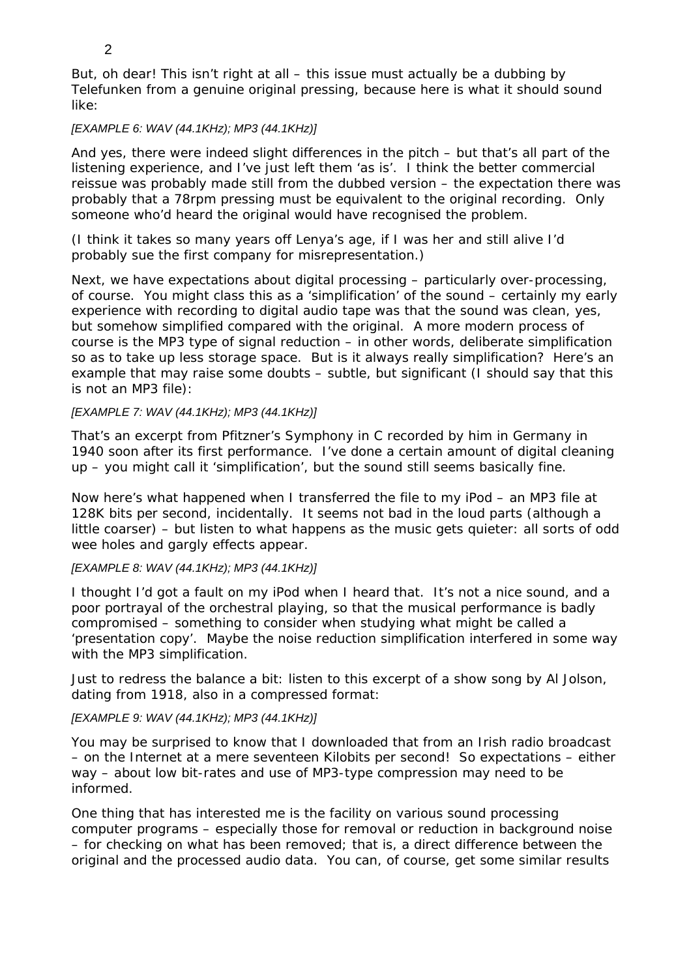But, oh dear! This isn't right at all – this issue must actually be a dubbing by Telefunken from a genuine original pressing, because here is what it should sound like:

## *[EXAMPLE 6: WAV (44.1KHz); MP3 (44.1KHz)]*

And yes, there were indeed slight differences in the pitch – but that's all part of the listening experience, and I've just left them 'as is'. I think the better commercial reissue was probably made still from the dubbed version – the expectation there was probably that a 78rpm pressing must be equivalent to the original recording. Only someone who'd heard the original would have recognised the problem.

(I think it takes so many years off Lenya's age, if I was her and still alive I'd probably sue the first company for misrepresentation.)

Next, we have expectations about digital processing – particularly *over*-processing, of course. You might class this as a 'simplification' of the sound – certainly my early experience with recording to digital audio tape was that the sound was clean, yes, but somehow simplified compared with the original. A more modern process of course is the MP3 type of signal reduction – in other words, *deliberate* simplification so as to take up less storage space. But is it always really simplification? Here's an example that may raise some doubts – subtle, but significant (I should say that this is not an MP3 file):

## *[EXAMPLE 7: WAV (44.1KHz); MP3 (44.1KHz)]*

That's an excerpt from Pfitzner's Symphony in C recorded by him in Germany in 1940 soon after its first performance. I've done a certain amount of digital cleaning up – you might call it 'simplification', but the sound still seems basically fine.

Now here's what happened when I transferred the file to my iPod – an MP3 file at 128K bits per second, incidentally. It seems not bad in the loud parts (although a little coarser) – but listen to what happens as the music gets quieter: all sorts of odd wee holes and gargly effects appear.

#### *[EXAMPLE 8: WAV (44.1KHz); MP3 (44.1KHz)]*

I thought I'd got a fault on my iPod when I heard that. It's not a nice sound, and a poor portrayal of the orchestral playing, so that the musical performance is badly compromised – something to consider when studying what might be called a 'presentation copy'. Maybe the noise reduction simplification interfered in some way with the MP3 simplification.

Just to redress the balance a bit: listen to this excerpt of a show song by Al Jolson, dating from 1918, also in a compressed format:

#### *[EXAMPLE 9: WAV (44.1KHz); MP3 (44.1KHz)]*

You may be surprised to know that I downloaded that from an Irish radio broadcast – on the Internet at a mere *seventeen* Kilobits per second! So expectations – either way – about low bit-rates and use of MP3-type compression may need to be informed.

One thing that has interested me is the facility on various sound processing computer programs – especially those for removal or reduction in background noise – for checking on what has been removed; that is, a direct difference between the original and the processed audio data. You can, of course, get some similar results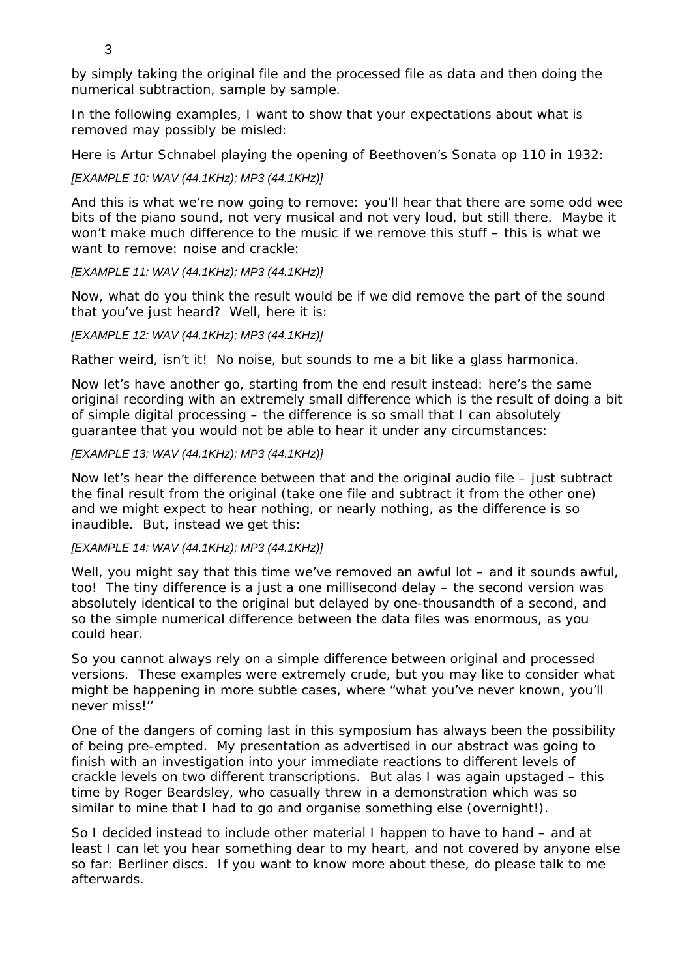3

by simply taking the original file and the processed file as *data* and then doing the numerical subtraction, sample by sample.

In the following examples, I want to show that your expectations about what is removed may possibly be misled:

Here is Artur Schnabel playing the opening of Beethoven's Sonata op 110 in 1932:

# *[EXAMPLE 10: WAV (44.1KHz); MP3 (44.1KHz)]*

And this is what we're now going to remove: you'll hear that there are some odd wee bits of the piano sound, not very musical and not very loud, but still there. Maybe it won't make much difference to the music if we remove this stuff – this is what we want to remove: noise and crackle:

# *[EXAMPLE 11: WAV (44.1KHz); MP3 (44.1KHz)]*

Now, what do you think the result would be if we did remove the part of the sound that you've just heard? Well, here it is:

# *[EXAMPLE 12: WAV (44.1KHz); MP3 (44.1KHz)]*

Rather weird, isn't it! No noise, but sounds to me a bit like a glass harmonica.

Now let's have another go, starting from the end result instead: here's the same original recording with an extremely *small* difference which is the result of doing a bit of simple digital processing – the difference is so small that I can absolutely guarantee that you would not be able to hear it under *any* circumstances:

# *[EXAMPLE 13: WAV (44.1KHz); MP3 (44.1KHz)]*

Now let's hear the difference between that and the original audio file – just subtract the final result from the original (take one file and subtract it from the other one) and we might *expect* to hear nothing, or nearly nothing, as the difference is so inaudible. But, instead we get this:

## *[EXAMPLE 14: WAV (44.1KHz); MP3 (44.1KHz)]*

Well, you might say that this time we've removed an awful lot – and it sounds awful, too! The tiny difference is a just a one millisecond delay – the second version was absolutely identical to the original but delayed by one-thousandth of a second, and so the simple numerical difference between the data files was enormous, as you could hear.

So you cannot always rely on a simple difference between original and processed versions. These examples were extremely crude, but you may like to consider what might be happening in more subtle cases, where "what you've never known, you'll never miss!''

One of the dangers of coming last in this symposium has always been the possibility of being pre-empted. My presentation as advertised in our abstract was going to finish with an investigation into your immediate reactions to different levels of crackle levels on two different transcriptions. But alas I was again upstaged – this time by Roger Beardsley, who casually threw in a demonstration which was so similar to mine that I had to go and organise something else (overnight!).

So I decided instead to include other material I happen to have to hand – and at least I can let you hear something dear to my heart, and not covered by anyone else so far: Berliner discs. If you want to know more about these, do please talk to me afterwards.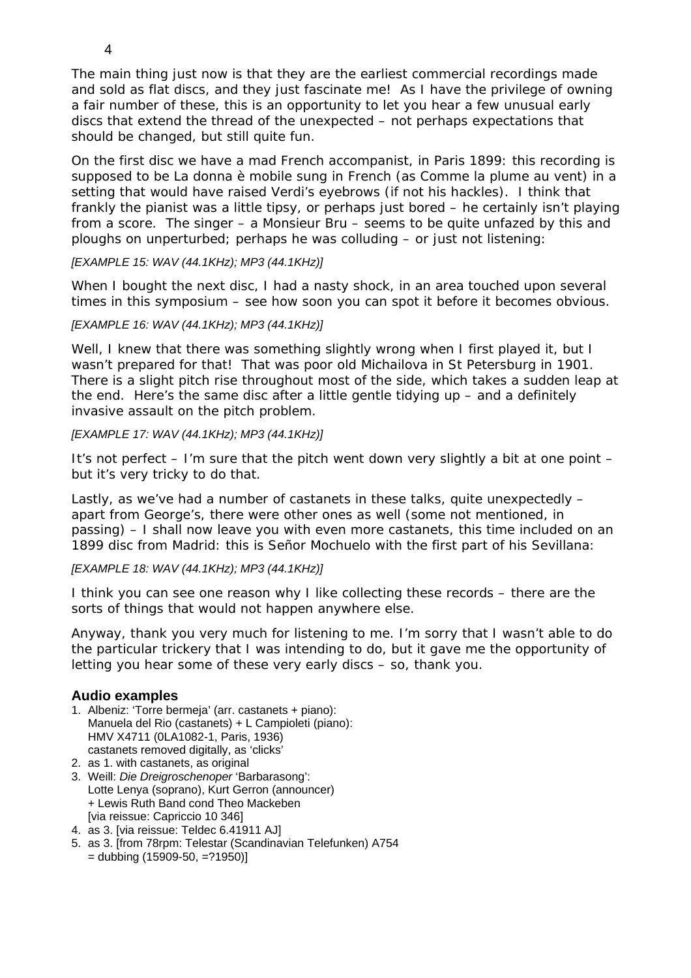The main thing just now is that they are the earliest commercial recordings made and sold as flat discs, and they just fascinate me! As I have the privilege of owning a fair number of these, this is an opportunity to let you hear a few unusual early discs that extend the thread of the unexpected – not perhaps expectations that *should* be changed, but still quite fun.

On the first disc we have a mad French accompanist, in Paris 1899: this recording is *supposed* to be *La donna è mobile* sung in French (as *Comme la plume au vent*) in a setting that would have raised Verdi's eyebrows (if not his hackles). I think that frankly the pianist was a little tipsy, or perhaps just bored – he certainly isn't playing from a score. The singer – a Monsieur Bru – seems to be quite unfazed by this and ploughs on unperturbed; perhaps he was colluding – or just not listening:

## *[EXAMPLE 15: WAV (44.1KHz); MP3 (44.1KHz)]*

When I bought the next disc, I had a nasty shock, in an area touched upon several times in this symposium – see how soon you can spot it before it becomes obvious.

## *[EXAMPLE 16: WAV (44.1KHz); MP3 (44.1KHz)]*

Well, I knew that there was something slightly wrong when I first played it, but I wasn't prepared for that! That was poor old Michailova in St Petersburg in 1901. There is a slight pitch rise throughout most of the side, which takes a sudden leap at the end. Here's the same disc after a little gentle tidying up – and a definitely invasive assault on the pitch problem.

## *[EXAMPLE 17: WAV (44.1KHz); MP3 (44.1KHz)]*

It's not perfect – I'm sure that the pitch went down very slightly a bit at one point – but it's very tricky to do that.

Lastly, as we've had a number of castanets in these talks, quite unexpectedly – apart from George's, there were other ones as well (some not mentioned, in passing) – I shall now leave you with even more castanets, this time included on an 1899 disc from Madrid: this is Señor Mochuelo with the first part of his Sevillana:

## *[EXAMPLE 18: WAV (44.1KHz); MP3 (44.1KHz)]*

I think you can see one reason why I like collecting these records – there are the sorts of things that would not happen anywhere else.

Anyway, thank you very much for listening to me. I'm sorry that I wasn't able to do the particular trickery that I was intending to do, but it gave me the opportunity of letting you hear some of these very early discs – so, thank you.

## **Audio examples**

- 1. Albeniz: 'Torre bermeja' (arr. castanets + piano): Manuela del Rio (castanets) + L Campioleti (piano): HMV X4711 (0LA1082-1, Paris, 1936) castanets removed digitally, as 'clicks'
- 2. as 1. with castanets, as original
- 3. Weill: *Die Dreigroschenoper* 'Barbarasong': Lotte Lenya (soprano), Kurt Gerron (announcer) + Lewis Ruth Band cond Theo Mackeben [via reissue: Capriccio 10 346]
- 4. as 3. [via reissue: Teldec 6.41911 AJ]
- 5. as 3. [from 78rpm: Telestar (Scandinavian Telefunken) A754
	- $=$  dubbing (15909-50,  $=$ ?1950)]